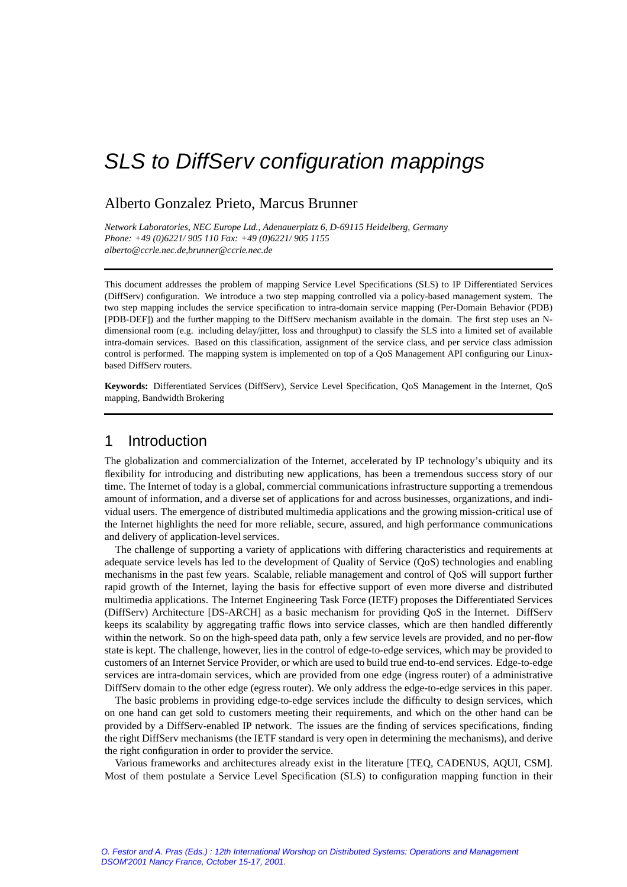# Alberto Gonzalez Prieto, Marcus Brunner

*Network Laboratories, NEC Europe Ltd., Adenauerplatz 6, D-69115 Heidelberg, Germany Phone: +49 (0)6221/ 905 110 Fax: +49 (0)6221/ 905 1155 alberto@ccrle.nec.de,brunner@ccrle.nec.de*

This document addresses the problem of mapping Service Level Specifications (SLS) to IP Differentiated Services (DiffServ) configuration. We introduce a two step mapping controlled via a policy-based management system. The two step mapping includes the service specification to intra-domain service mapping (Per-Domain Behavior (PDB) [PDB-DEF]) and the further mapping to the DiffServ mechanism available in the domain. The first step uses an Ndimensional room (e.g. including delay/jitter, loss and throughput) to classify the SLS into a limited set of available intra-domain services. Based on this classification, assignment of the service class, and per service class admission control is performed. The mapping system is implemented on top of a QoS Management API configuring our Linuxbased DiffServ routers.

**Keywords:** Differentiated Services (DiffServ), Service Level Specification, QoS Management in the Internet, QoS mapping, Bandwidth Brokering

# 1 Introduction

The globalization and commercialization of the Internet, accelerated by IP technology's ubiquity and its flexibility for introducing and distributing new applications, has been a tremendous success story of our time. The Internet of today is a global, commercial communications infrastructure supporting a tremendous amount of information, and a diverse set of applications for and across businesses, organizations, and individual users. The emergence of distributed multimedia applications and the growing mission-critical use of the Internet highlights the need for more reliable, secure, assured, and high performance communications and delivery of application-level services.

The challenge of supporting a variety of applications with differing characteristics and requirements at adequate service levels has led to the development of Quality of Service (QoS) technologies and enabling mechanisms in the past few years. Scalable, reliable management and control of QoS will support further rapid growth of the Internet, laying the basis for effective support of even more diverse and distributed multimedia applications. The Internet Engineering Task Force (IETF) proposes the Differentiated Services (DiffServ) Architecture [DS-ARCH] as a basic mechanism for providing QoS in the Internet. DiffServ keeps its scalability by aggregating traffic flows into service classes, which are then handled differently within the network. So on the high-speed data path, only a few service levels are provided, and no per-flow state is kept. The challenge, however, lies in the control of edge-to-edge services, which may be provided to customers of an Internet Service Provider, or which are used to build true end-to-end services. Edge-to-edge services are intra-domain services, which are provided from one edge (ingress router) of a administrative DiffServ domain to the other edge (egress router). We only address the edge-to-edge services in this paper.

The basic problems in providing edge-to-edge services include the difficulty to design services, which on one hand can get sold to customers meeting their requirements, and which on the other hand can be provided by a DiffServ-enabled IP network. The issues are the finding of services specifications, finding the right DiffServ mechanisms (the IETF standard is very open in determining the mechanisms), and derive the right configuration in order to provider the service.

Various frameworks and architectures already exist in the literature [TEQ, CADENUS, AQUI, CSM]. Most of them postulate a Service Level Specification (SLS) to configuration mapping function in their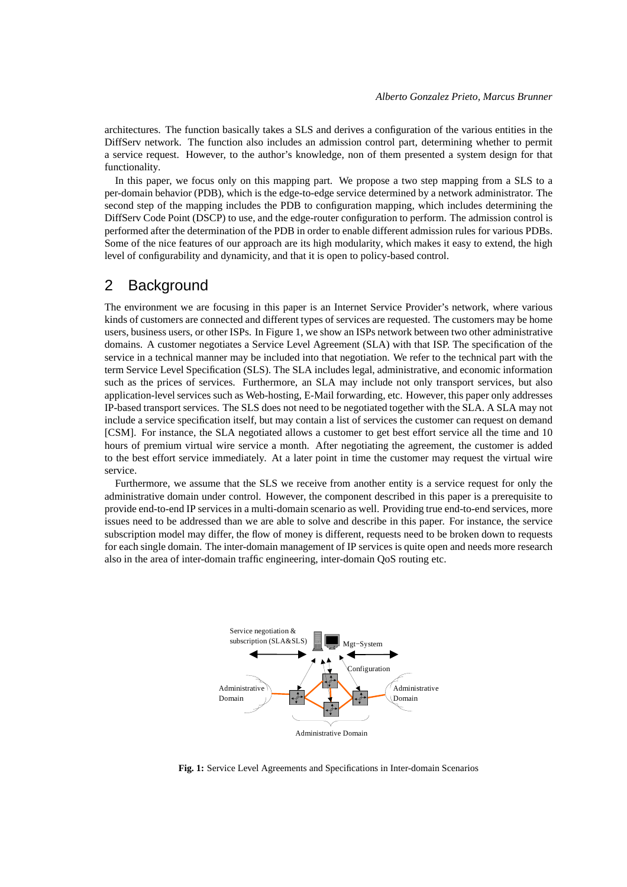architectures. The function basically takes a SLS and derives a configuration of the various entities in the DiffServ network. The function also includes an admission control part, determining whether to permit a service request. However, to the author's knowledge, non of them presented a system design for that functionality.

In this paper, we focus only on this mapping part. We propose a two step mapping from a SLS to a per-domain behavior (PDB), which is the edge-to-edge service determined by a network administrator. The second step of the mapping includes the PDB to configuration mapping, which includes determining the DiffServ Code Point (DSCP) to use, and the edge-router configuration to perform. The admission control is performed after the determination of the PDB in order to enable different admission rules for various PDBs. Some of the nice features of our approach are its high modularity, which makes it easy to extend, the high level of configurability and dynamicity, and that it is open to policy-based control.

# 2 Background

The environment we are focusing in this paper is an Internet Service Provider's network, where various kinds of customers are connected and different types of services are requested. The customers may be home users, business users, or other ISPs. In Figure 1, we show an ISPs network between two other administrative domains. A customer negotiates a Service Level Agreement (SLA) with that ISP. The specification of the service in a technical manner may be included into that negotiation. We refer to the technical part with the term Service Level Specification (SLS). The SLA includes legal, administrative, and economic information such as the prices of services. Furthermore, an SLA may include not only transport services, but also application-level services such as Web-hosting, E-Mail forwarding, etc. However, this paper only addresses IP-based transport services. The SLS does not need to be negotiated together with the SLA. A SLA may not include a service specification itself, but may contain a list of services the customer can request on demand [CSM]. For instance, the SLA negotiated allows a customer to get best effort service all the time and 10 hours of premium virtual wire service a month. After negotiating the agreement, the customer is added to the best effort service immediately. At a later point in time the customer may request the virtual wire service.

Furthermore, we assume that the SLS we receive from another entity is a service request for only the administrative domain under control. However, the component described in this paper is a prerequisite to provide end-to-end IP services in a multi-domain scenario as well. Providing true end-to-end services, more issues need to be addressed than we are able to solve and describe in this paper. For instance, the service subscription model may differ, the flow of money is different, requests need to be broken down to requests for each single domain. The inter-domain management of IP services is quite open and needs more research also in the area of inter-domain traffic engineering, inter-domain QoS routing etc.



**Fig. 1:** Service Level Agreements and Specifications in Inter-domain Scenarios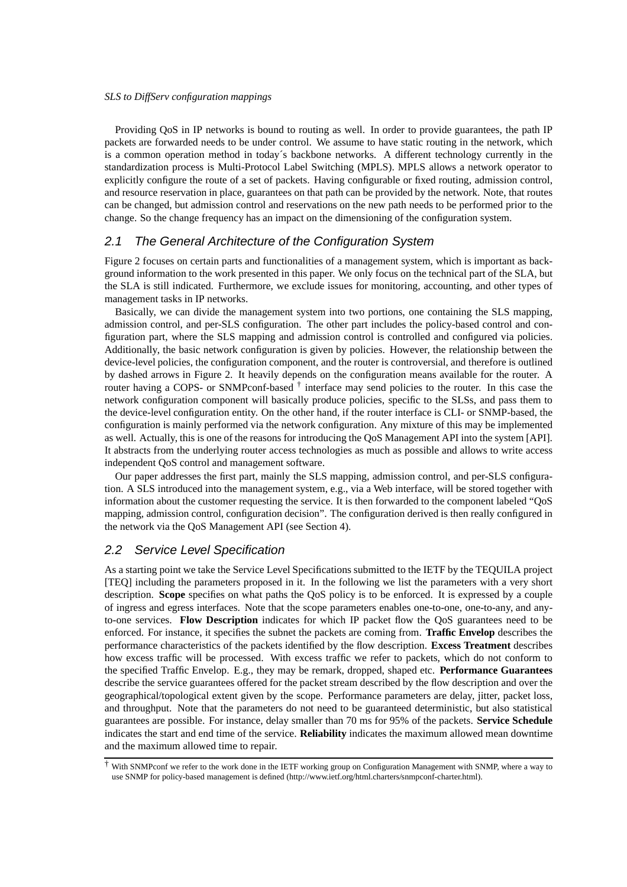Providing QoS in IP networks is bound to routing as well. In order to provide guarantees, the path IP packets are forwarded needs to be under control. We assume to have static routing in the network, which is a common operation method in today´s backbone networks. A different technology currently in the standardization process is Multi-Protocol Label Switching (MPLS). MPLS allows a network operator to explicitly configure the route of a set of packets. Having configurable or fixed routing, admission control, and resource reservation in place, guarantees on that path can be provided by the network. Note, that routes can be changed, but admission control and reservations on the new path needs to be performed prior to the change. So the change frequency has an impact on the dimensioning of the configuration system.

# 2.1 The General Architecture of the Configuration System

Figure 2 focuses on certain parts and functionalities of a management system, which is important as background information to the work presented in this paper. We only focus on the technical part of the SLA, but the SLA is still indicated. Furthermore, we exclude issues for monitoring, accounting, and other types of management tasks in IP networks.

Basically, we can divide the management system into two portions, one containing the SLS mapping, admission control, and per-SLS configuration. The other part includes the policy-based control and configuration part, where the SLS mapping and admission control is controlled and configured via policies. Additionally, the basic network configuration is given by policies. However, the relationship between the device-level policies, the configuration component, and the router is controversial, and therefore is outlined by dashed arrows in Figure 2. It heavily depends on the configuration means available for the router. A router having a COPS- or SNMPconf-based  $\dagger$  interface may send policies to the router. In this case the network configuration component will basically produce policies, specific to the SLSs, and pass them to the device-level configuration entity. On the other hand, if the router interface is CLI- or SNMP-based, the configuration is mainly performed via the network configuration. Any mixture of this may be implemented as well. Actually, this is one of the reasons for introducing the QoS Management API into the system [API]. It abstracts from the underlying router access technologies as much as possible and allows to write access independent QoS control and management software.

Our paper addresses the first part, mainly the SLS mapping, admission control, and per-SLS configuration. A SLS introduced into the management system, e.g., via a Web interface, will be stored together with information about the customer requesting the service. It is then forwarded to the component labeled "QoS mapping, admission control, configuration decision". The configuration derived is then really configured in the network via the QoS Management API (see Section 4).

### 2.2 Service Level Specification

As a starting point we take the Service Level Specifications submitted to the IETF by the TEQUILA project [TEQ] including the parameters proposed in it. In the following we list the parameters with a very short description. **Scope** specifies on what paths the QoS policy is to be enforced. It is expressed by a couple of ingress and egress interfaces. Note that the scope parameters enables one-to-one, one-to-any, and anyto-one services. **Flow Description** indicates for which IP packet flow the QoS guarantees need to be enforced. For instance, it specifies the subnet the packets are coming from. **Traffic Envelop** describes the performance characteristics of the packets identified by the flow description. **Excess Treatment** describes how excess traffic will be processed. With excess traffic we refer to packets, which do not conform to the specified Traffic Envelop. E.g., they may be remark, dropped, shaped etc. **Performance Guarantees** describe the service guarantees offered for the packet stream described by the flow description and over the geographical/topological extent given by the scope. Performance parameters are delay, jitter, packet loss, and throughput. Note that the parameters do not need to be guaranteed deterministic, but also statistical guarantees are possible. For instance, delay smaller than 70 ms for 95% of the packets. **Service Schedule** indicates the start and end time of the service. **Reliability** indicates the maximum allowed mean downtime and the maximum allowed time to repair.

<sup>†</sup> With SNMPconf we refer to the work done in the IETF working group on Configuration Management with SNMP, where a way to use SNMP for policy-based management is defined (http://www.ietf.org/html.charters/snmpconf-charter.html).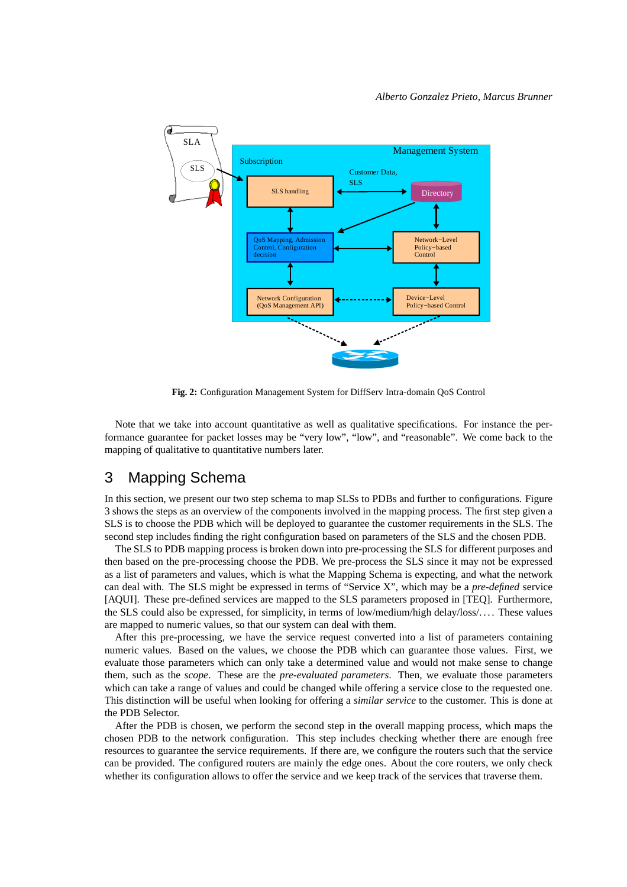

**Fig. 2:** Configuration Management System for DiffServ Intra-domain QoS Control

Note that we take into account quantitative as well as qualitative specifications. For instance the performance guarantee for packet losses may be "very low", "low", and "reasonable". We come back to the mapping of qualitative to quantitative numbers later.

# 3 Mapping Schema

In this section, we present our two step schema to map SLSs to PDBs and further to configurations. Figure 3 shows the steps as an overview of the components involved in the mapping process. The first step given a SLS is to choose the PDB which will be deployed to guarantee the customer requirements in the SLS. The second step includes finding the right configuration based on parameters of the SLS and the chosen PDB.

The SLS to PDB mapping process is broken down into pre-processing the SLS for different purposes and then based on the pre-processing choose the PDB. We pre-process the SLS since it may not be expressed as a list of parameters and values, which is what the Mapping Schema is expecting, and what the network can deal with. The SLS might be expressed in terms of "Service X", which may be a *pre-defined* service [AQUI]. These pre-defined services are mapped to the SLS parameters proposed in [TEQ]. Furthermore, the SLS could also be expressed, for simplicity, in terms of low/medium/high delay/loss/. . . . These values are mapped to numeric values, so that our system can deal with them.

After this pre-processing, we have the service request converted into a list of parameters containing numeric values. Based on the values, we choose the PDB which can guarantee those values. First, we evaluate those parameters which can only take a determined value and would not make sense to change them, such as the *scope*. These are the *pre-evaluated parameters*. Then, we evaluate those parameters which can take a range of values and could be changed while offering a service close to the requested one. This distinction will be useful when looking for offering a *similar service* to the customer. This is done at the PDB Selector.

After the PDB is chosen, we perform the second step in the overall mapping process, which maps the chosen PDB to the network configuration. This step includes checking whether there are enough free resources to guarantee the service requirements. If there are, we configure the routers such that the service can be provided. The configured routers are mainly the edge ones. About the core routers, we only check whether its configuration allows to offer the service and we keep track of the services that traverse them.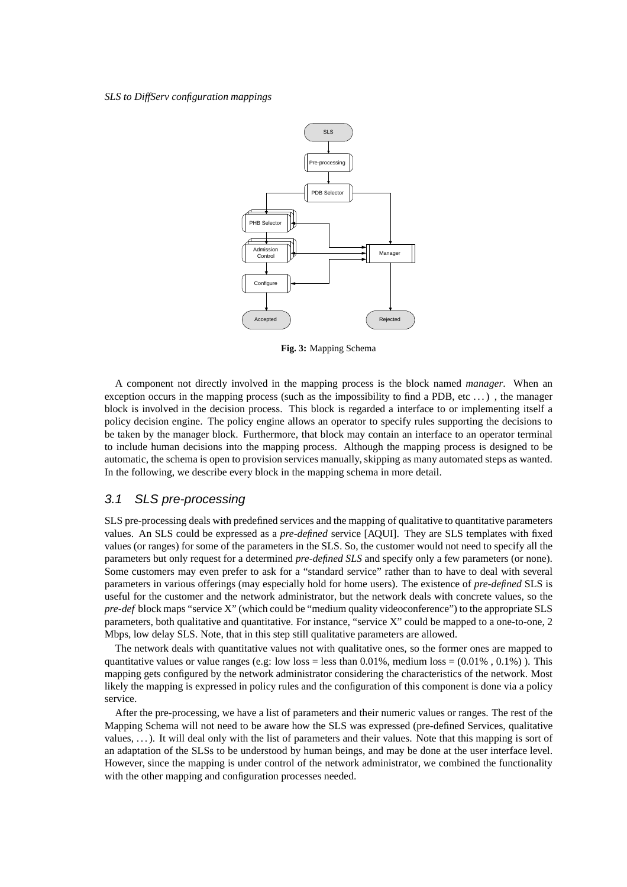

**Fig. 3:** Mapping Schema

A component not directly involved in the mapping process is the block named *manager*. When an exception occurs in the mapping process (such as the impossibility to find a PDB, etc  $\dots$ ), the manager block is involved in the decision process. This block is regarded a interface to or implementing itself a policy decision engine. The policy engine allows an operator to specify rules supporting the decisions to be taken by the manager block. Furthermore, that block may contain an interface to an operator terminal to include human decisions into the mapping process. Although the mapping process is designed to be automatic, the schema is open to provision services manually, skipping as many automated steps as wanted. In the following, we describe every block in the mapping schema in more detail.

### 3.1 SLS pre-processing

SLS pre-processing deals with predefined services and the mapping of qualitative to quantitative parameters values. An SLS could be expressed as a *pre-defined* service [AQUI]. They are SLS templates with fixed values (or ranges) for some of the parameters in the SLS. So, the customer would not need to specify all the parameters but only request for a determined *pre-defined SLS* and specify only a few parameters (or none). Some customers may even prefer to ask for a "standard service" rather than to have to deal with several parameters in various offerings (may especially hold for home users). The existence of *pre-defined* SLS is useful for the customer and the network administrator, but the network deals with concrete values, so the *pre-def* block maps "service X" (which could be "medium quality videoconference") to the appropriate SLS parameters, both qualitative and quantitative. For instance, "service X" could be mapped to a one-to-one, 2 Mbps, low delay SLS. Note, that in this step still qualitative parameters are allowed.

The network deals with quantitative values not with qualitative ones, so the former ones are mapped to quantitative values or value ranges (e.g: low loss = less than  $0.01\%$ , medium loss =  $(0.01\% , 0.1\%)$ ). This mapping gets configured by the network administrator considering the characteristics of the network. Most likely the mapping is expressed in policy rules and the configuration of this component is done via a policy service.

After the pre-processing, we have a list of parameters and their numeric values or ranges. The rest of the Mapping Schema will not need to be aware how the SLS was expressed (pre-defined Services, qualitative values, . . .). It will deal only with the list of parameters and their values. Note that this mapping is sort of an adaptation of the SLSs to be understood by human beings, and may be done at the user interface level. However, since the mapping is under control of the network administrator, we combined the functionality with the other mapping and configuration processes needed.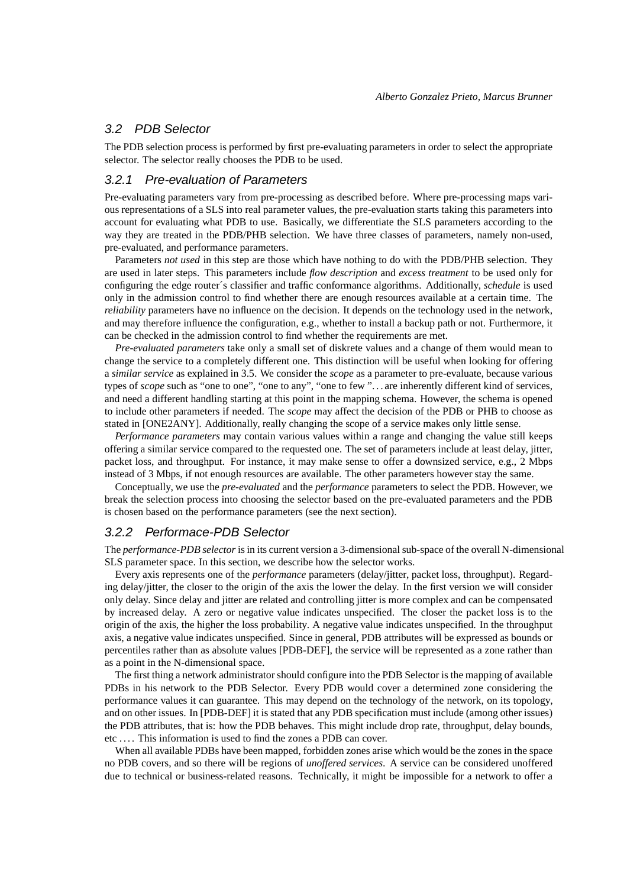# 3.2 PDB Selector

The PDB selection process is performed by first pre-evaluating parameters in order to select the appropriate selector. The selector really chooses the PDB to be used.

### 3.2.1 Pre-evaluation of Parameters

Pre-evaluating parameters vary from pre-processing as described before. Where pre-processing maps various representations of a SLS into real parameter values, the pre-evaluation starts taking this parameters into account for evaluating what PDB to use. Basically, we differentiate the SLS parameters according to the way they are treated in the PDB/PHB selection. We have three classes of parameters, namely non-used, pre-evaluated, and performance parameters.

Parameters *not used* in this step are those which have nothing to do with the PDB/PHB selection. They are used in later steps. This parameters include *flow description* and *excess treatment* to be used only for configuring the edge router´s classifier and traffic conformance algorithms. Additionally, *schedule* is used only in the admission control to find whether there are enough resources available at a certain time. The *reliability* parameters have no influence on the decision. It depends on the technology used in the network, and may therefore influence the configuration, e.g., whether to install a backup path or not. Furthermore, it can be checked in the admission control to find whether the requirements are met.

*Pre-evaluated parameters* take only a small set of diskrete values and a change of them would mean to change the service to a completely different one. This distinction will be useful when looking for offering a *similar service* as explained in 3.5. We consider the *scope* as a parameter to pre-evaluate, because various types of *scope* such as "one to one", "one to any", "one to few ". . . are inherently different kind of services, and need a different handling starting at this point in the mapping schema. However, the schema is opened to include other parameters if needed. The *scope* may affect the decision of the PDB or PHB to choose as stated in [ONE2ANY]. Additionally, really changing the scope of a service makes only little sense.

*Performance parameters* may contain various values within a range and changing the value still keeps offering a similar service compared to the requested one. The set of parameters include at least delay, jitter, packet loss, and throughput. For instance, it may make sense to offer a downsized service, e.g., 2 Mbps instead of 3 Mbps, if not enough resources are available. The other parameters however stay the same.

Conceptually, we use the *pre-evaluated* and the *performance* parameters to select the PDB. However, we break the selection process into choosing the selector based on the pre-evaluated parameters and the PDB is chosen based on the performance parameters (see the next section).

### 3.2.2 Performace-PDB Selector

The *performance-PDB selector* isin its current version a 3-dimensionalsub-space of the overall N-dimensional SLS parameter space. In this section, we describe how the selector works.

Every axis represents one of the *performance* parameters (delay/jitter, packet loss, throughput). Regarding delay/jitter, the closer to the origin of the axis the lower the delay. In the first version we will consider only delay. Since delay and jitter are related and controlling jitter is more complex and can be compensated by increased delay. A zero or negative value indicates unspecified. The closer the packet loss is to the origin of the axis, the higher the loss probability. A negative value indicates unspecified. In the throughput axis, a negative value indicates unspecified. Since in general, PDB attributes will be expressed as bounds or percentiles rather than as absolute values [PDB-DEF], the service will be represented as a zone rather than as a point in the N-dimensional space.

The first thing a network administrator should configure into the PDB Selector is the mapping of available PDBs in his network to the PDB Selector. Every PDB would cover a determined zone considering the performance values it can guarantee. This may depend on the technology of the network, on its topology, and on other issues. In [PDB-DEF] it is stated that any PDB specification must include (among other issues) the PDB attributes, that is: how the PDB behaves. This might include drop rate, throughput, delay bounds, etc . . . . This information is used to find the zones a PDB can cover.

When all available PDBs have been mapped, forbidden zones arise which would be the zones in the space no PDB covers, and so there will be regions of *unoffered services*. A service can be considered unoffered due to technical or business-related reasons. Technically, it might be impossible for a network to offer a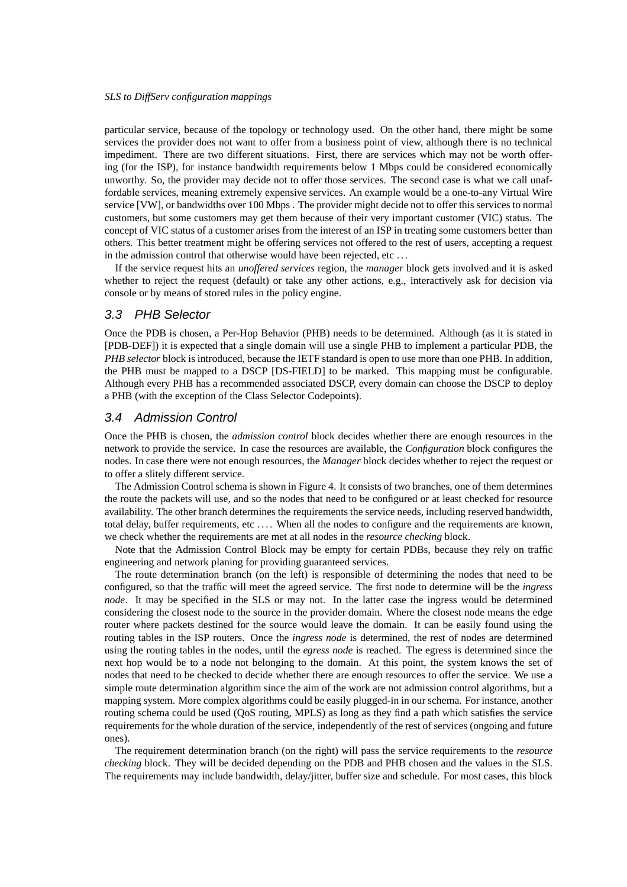particular service, because of the topology or technology used. On the other hand, there might be some services the provider does not want to offer from a business point of view, although there is no technical impediment. There are two different situations. First, there are services which may not be worth offering (for the ISP), for instance bandwidth requirements below 1 Mbps could be considered economically unworthy. So, the provider may decide not to offer those services. The second case is what we call unaffordable services, meaning extremely expensive services. An example would be a one-to-any Virtual Wire service [VW], or bandwidths over 100 Mbps . The provider might decide not to offer this services to normal customers, but some customers may get them because of their very important customer (VIC) status. The concept of VIC status of a customer arises from the interest of an ISP in treating some customers better than others. This better treatment might be offering services not offered to the rest of users, accepting a request in the admission control that otherwise would have been rejected, etc . . .

If the service request hits an *unoffered services* region, the *manager* block gets involved and it is asked whether to reject the request (default) or take any other actions, e.g., interactively ask for decision via console or by means of stored rules in the policy engine.

### 3.3 PHB Selector

Once the PDB is chosen, a Per-Hop Behavior (PHB) needs to be determined. Although (as it is stated in [PDB-DEF]) it is expected that a single domain will use a single PHB to implement a particular PDB, the *PHB selector* block is introduced, because the IETF standard is open to use more than one PHB. In addition, the PHB must be mapped to a DSCP [DS-FIELD] to be marked. This mapping must be configurable. Although every PHB has a recommended associated DSCP, every domain can choose the DSCP to deploy a PHB (with the exception of the Class Selector Codepoints).

#### 3.4 Admission Control

Once the PHB is chosen, the *admission control* block decides whether there are enough resources in the network to provide the service. In case the resources are available, the *Configuration* block configures the nodes. In case there were not enough resources, the *Manager* block decides whether to reject the request or to offer a slitely different service.

The Admission Control schema is shown in Figure 4. It consists of two branches, one of them determines the route the packets will use, and so the nodes that need to be configured or at least checked for resource availability. The other branch determines the requirements the service needs, including reserved bandwidth, total delay, buffer requirements, etc .... When all the nodes to configure and the requirements are known, we check whether the requirements are met at all nodes in the *resource checking* block.

Note that the Admission Control Block may be empty for certain PDBs, because they rely on traffic engineering and network planing for providing guaranteed services.

The route determination branch (on the left) is responsible of determining the nodes that need to be configured, so that the traffic will meet the agreed service. The first node to determine will be the *ingress node*. It may be specified in the SLS or may not. In the latter case the ingress would be determined considering the closest node to the source in the provider domain. Where the closest node means the edge router where packets destined for the source would leave the domain. It can be easily found using the routing tables in the ISP routers. Once the *ingress node* is determined, the rest of nodes are determined using the routing tables in the nodes, until the *egress node* is reached. The egress is determined since the next hop would be to a node not belonging to the domain. At this point, the system knows the set of nodes that need to be checked to decide whether there are enough resources to offer the service. We use a simple route determination algorithm since the aim of the work are not admission control algorithms, but a mapping system. More complex algorithms could be easily plugged-in in our schema. For instance, another routing schema could be used (QoS routing, MPLS) as long as they find a path which satisfies the service requirements for the whole duration of the service, independently of the rest of services (ongoing and future ones).

The requirement determination branch (on the right) will pass the service requirements to the *resource checking* block. They will be decided depending on the PDB and PHB chosen and the values in the SLS. The requirements may include bandwidth, delay/jitter, buffer size and schedule. For most cases, this block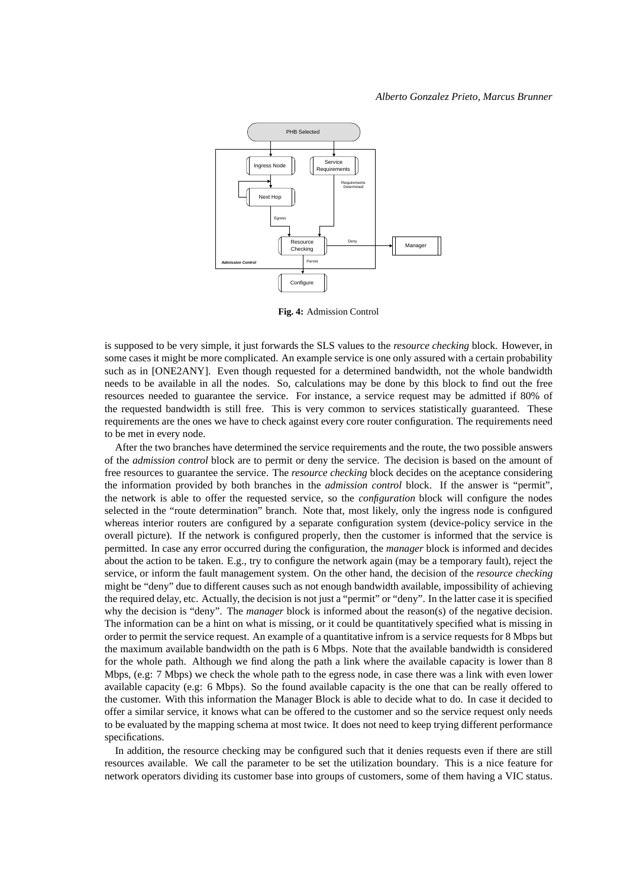

**Fig. 4:** Admission Control

is supposed to be very simple, it just forwards the SLS values to the *resource checking* block. However, in some cases it might be more complicated. An example service is one only assured with a certain probability such as in [ONE2ANY]. Even though requested for a determined bandwidth, not the whole bandwidth needs to be available in all the nodes. So, calculations may be done by this block to find out the free resources needed to guarantee the service. For instance, a service request may be admitted if 80% of the requested bandwidth is still free. This is very common to services statistically guaranteed. These requirements are the ones we have to check against every core router configuration. The requirements need to be met in every node.

After the two branches have determined the service requirements and the route, the two possible answers of the *admission control* block are to permit or deny the service. The decision is based on the amount of free resources to guarantee the service. The *resource checking* block decides on the aceptance considering the information provided by both branches in the *admission control* block. If the answer is "permit", the network is able to offer the requested service, so the *configuration* block will configure the nodes selected in the "route determination" branch. Note that, most likely, only the ingress node is configured whereas interior routers are configured by a separate configuration system (device-policy service in the overall picture). If the network is configured properly, then the customer is informed that the service is permitted. In case any error occurred during the configuration, the *manager* block is informed and decides about the action to be taken. E.g., try to configure the network again (may be a temporary fault), reject the service, or inform the fault management system. On the other hand, the decision of the *resource checking* might be "deny" due to different causes such as not enough bandwidth available, impossibility of achieving the required delay, etc. Actually, the decision is not just a "permit" or "deny". In the latter case it is specified why the decision is "deny". The *manager* block is informed about the reason(s) of the negative decision. The information can be a hint on what is missing, or it could be quantitatively specified what is missing in order to permit the service request. An example of a quantitative infrom is a service requests for 8 Mbps but the maximum available bandwidth on the path is 6 Mbps. Note that the available bandwidth is considered for the whole path. Although we find along the path a link where the available capacity is lower than 8 Mbps, (e.g: 7 Mbps) we check the whole path to the egress node, in case there was a link with even lower available capacity (e.g: 6 Mbps). So the found available capacity is the one that can be really offered to the customer. With this information the Manager Block is able to decide what to do. In case it decided to offer a similar service, it knows what can be offered to the customer and so the service request only needs to be evaluated by the mapping schema at most twice. It does not need to keep trying different performance specifications.

In addition, the resource checking may be configured such that it denies requests even if there are still resources available. We call the parameter to be set the utilization boundary. This is a nice feature for network operators dividing its customer base into groups of customers, some of them having a VIC status.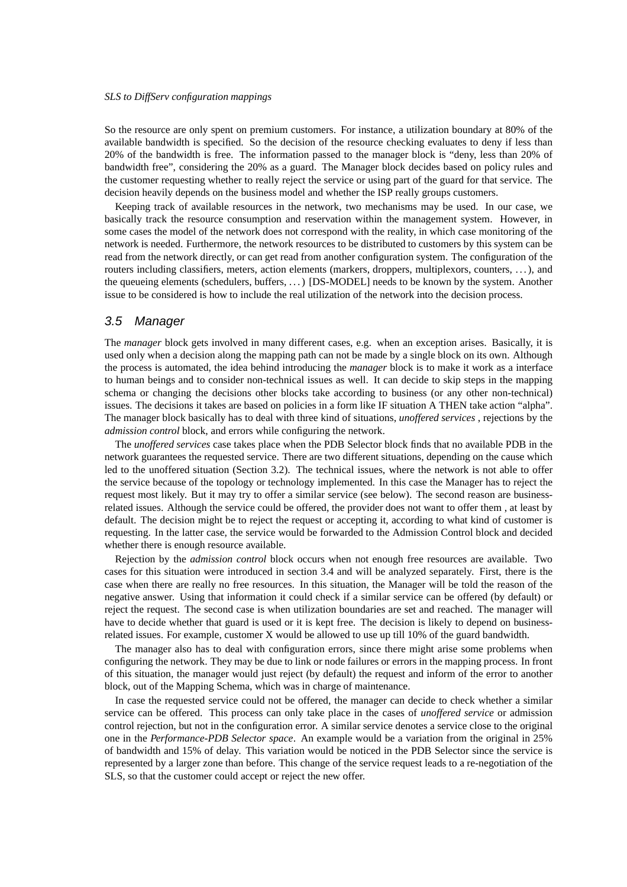So the resource are only spent on premium customers. For instance, a utilization boundary at 80% of the available bandwidth is specified. So the decision of the resource checking evaluates to deny if less than 20% of the bandwidth is free. The information passed to the manager block is "deny, less than 20% of bandwidth free", considering the 20% as a guard. The Manager block decides based on policy rules and the customer requesting whether to really reject the service or using part of the guard for that service. The decision heavily depends on the business model and whether the ISP really groups customers.

Keeping track of available resources in the network, two mechanisms may be used. In our case, we basically track the resource consumption and reservation within the management system. However, in some cases the model of the network does not correspond with the reality, in which case monitoring of the network is needed. Furthermore, the network resources to be distributed to customers by this system can be read from the network directly, or can get read from another configuration system. The configuration of the routers including classifiers, meters, action elements (markers, droppers, multiplexors, counters, . . .), and the queueing elements (schedulers, buffers, . . .) [DS-MODEL] needs to be known by the system. Another issue to be considered is how to include the real utilization of the network into the decision process.

### 3.5 Manager

The *manager* block gets involved in many different cases, e.g. when an exception arises. Basically, it is used only when a decision along the mapping path can not be made by a single block on its own. Although the process is automated, the idea behind introducing the *manager* block is to make it work as a interface to human beings and to consider non-technical issues as well. It can decide to skip steps in the mapping schema or changing the decisions other blocks take according to business (or any other non-technical) issues. The decisions it takes are based on policies in a form like IF situation A THEN take action "alpha". The manager block basically has to deal with three kind of situations, *unoffered services* , rejections by the *admission control* block, and errors while configuring the network.

The *unoffered services* case takes place when the PDB Selector block finds that no available PDB in the network guarantees the requested service. There are two different situations, depending on the cause which led to the unoffered situation (Section 3.2). The technical issues, where the network is not able to offer the service because of the topology or technology implemented. In this case the Manager has to reject the request most likely. But it may try to offer a similar service (see below). The second reason are businessrelated issues. Although the service could be offered, the provider does not want to offer them , at least by default. The decision might be to reject the request or accepting it, according to what kind of customer is requesting. In the latter case, the service would be forwarded to the Admission Control block and decided whether there is enough resource available.

Rejection by the *admission control* block occurs when not enough free resources are available. Two cases for this situation were introduced in section 3.4 and will be analyzed separately. First, there is the case when there are really no free resources. In this situation, the Manager will be told the reason of the negative answer. Using that information it could check if a similar service can be offered (by default) or reject the request. The second case is when utilization boundaries are set and reached. The manager will have to decide whether that guard is used or it is kept free. The decision is likely to depend on businessrelated issues. For example, customer X would be allowed to use up till 10% of the guard bandwidth.

The manager also has to deal with configuration errors, since there might arise some problems when configuring the network. They may be due to link or node failures or errors in the mapping process. In front of this situation, the manager would just reject (by default) the request and inform of the error to another block, out of the Mapping Schema, which was in charge of maintenance.

In case the requested service could not be offered, the manager can decide to check whether a similar service can be offered. This process can only take place in the cases of *unoffered service* or admission control rejection, but not in the configuration error. A similar service denotes a service close to the original one in the *Performance-PDB Selector space*. An example would be a variation from the original in 25% of bandwidth and 15% of delay. This variation would be noticed in the PDB Selector since the service is represented by a larger zone than before. This change of the service request leads to a re-negotiation of the SLS, so that the customer could accept or reject the new offer.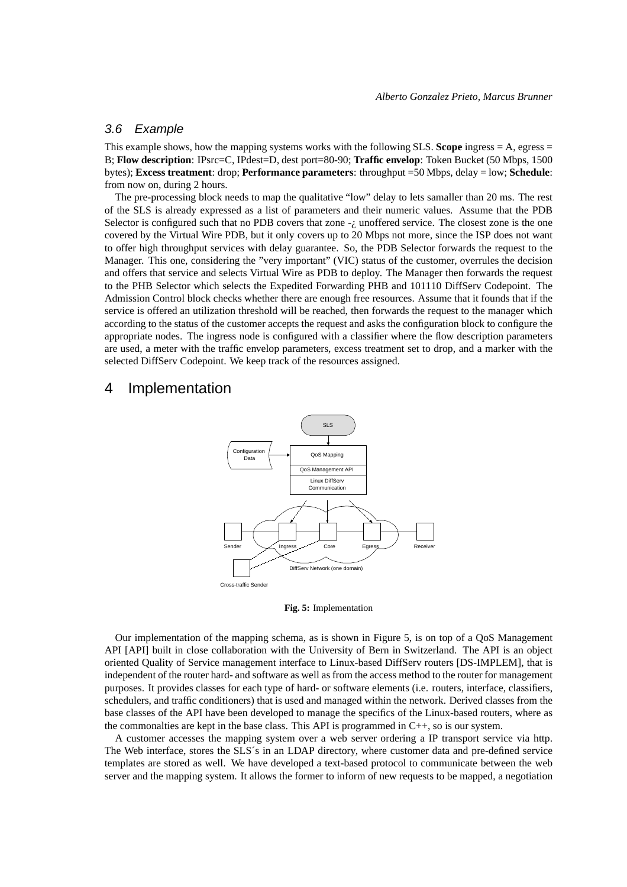# 3.6 Example

This example shows, how the mapping systems works with the following SLS. **Scope** ingress  $= A$ , egress  $=$ B; **Flow description**: IPsrc=C, IPdest=D, dest port=80-90; **Traffic envelop**: Token Bucket (50 Mbps, 1500 bytes); **Excess treatment**: drop; **Performance parameters**: throughput =50 Mbps, delay = low; **Schedule**: from now on, during 2 hours.

The pre-processing block needs to map the qualitative "low" delay to lets samaller than 20 ms. The rest of the SLS is already expressed as a list of parameters and their numeric values. Assume that the PDB Selector is configured such that no PDB covers that zone  $-i$ , unoffered service. The closest zone is the one covered by the Virtual Wire PDB, but it only covers up to 20 Mbps not more, since the ISP does not want to offer high throughput services with delay guarantee. So, the PDB Selector forwards the request to the Manager. This one, considering the "very important" (VIC) status of the customer, overrules the decision and offers that service and selects Virtual Wire as PDB to deploy. The Manager then forwards the request to the PHB Selector which selects the Expedited Forwarding PHB and 101110 DiffServ Codepoint. The Admission Control block checks whether there are enough free resources. Assume that it founds that if the service is offered an utilization threshold will be reached, then forwards the request to the manager which according to the status of the customer accepts the request and asks the configuration block to configure the appropriate nodes. The ingress node is configured with a classifier where the flow description parameters are used, a meter with the traffic envelop parameters, excess treatment set to drop, and a marker with the selected DiffServ Codepoint. We keep track of the resources assigned.

# 4 Implementation



**Fig. 5:** Implementation

Our implementation of the mapping schema, as is shown in Figure 5, is on top of a QoS Management API [API] built in close collaboration with the University of Bern in Switzerland. The API is an object oriented Quality of Service management interface to Linux-based DiffServ routers [DS-IMPLEM], that is independent of the router hard- and software as well asfrom the access method to the router for management purposes. It provides classes for each type of hard- or software elements (i.e. routers, interface, classifiers, schedulers, and traffic conditioners) that is used and managed within the network. Derived classes from the base classes of the API have been developed to manage the specifics of the Linux-based routers, where as the commonalties are kept in the base class. This API is programmed in  $C_{++}$ , so is our system.

A customer accesses the mapping system over a web server ordering a IP transport service via http. The Web interface, stores the SLS´s in an LDAP directory, where customer data and pre-defined service templates are stored as well. We have developed a text-based protocol to communicate between the web server and the mapping system. It allows the former to inform of new requests to be mapped, a negotiation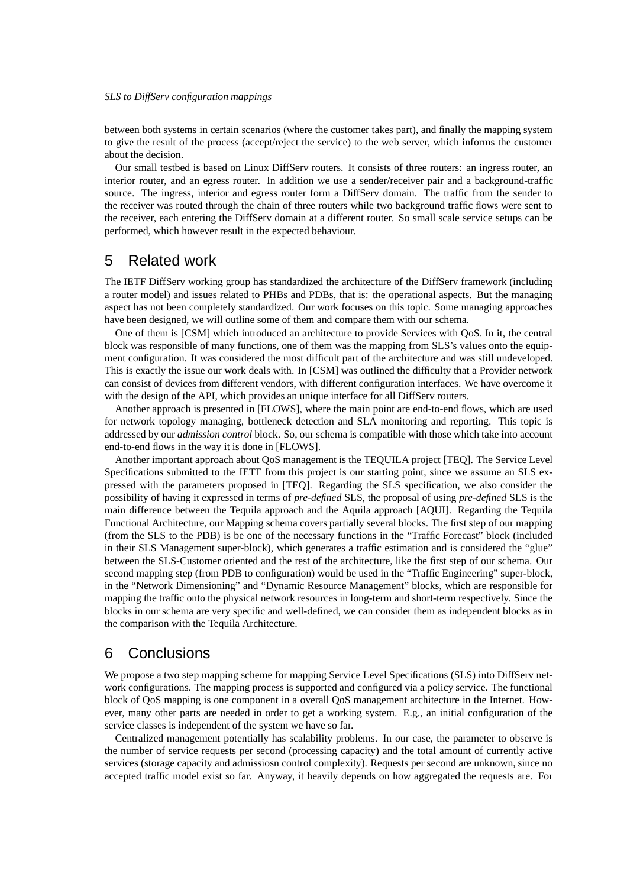between both systems in certain scenarios (where the customer takes part), and finally the mapping system to give the result of the process (accept/reject the service) to the web server, which informs the customer about the decision.

Our small testbed is based on Linux DiffServ routers. It consists of three routers: an ingress router, an interior router, and an egress router. In addition we use a sender/receiver pair and a background-traffic source. The ingress, interior and egress router form a DiffServ domain. The traffic from the sender to the receiver was routed through the chain of three routers while two background traffic flows were sent to the receiver, each entering the DiffServ domain at a different router. So small scale service setups can be performed, which however result in the expected behaviour.

# 5 Related work

The IETF DiffServ working group has standardized the architecture of the DiffServ framework (including a router model) and issues related to PHBs and PDBs, that is: the operational aspects. But the managing aspect has not been completely standardized. Our work focuses on this topic. Some managing approaches have been designed, we will outline some of them and compare them with our schema.

One of them is [CSM] which introduced an architecture to provide Services with QoS. In it, the central block was responsible of many functions, one of them was the mapping from SLS's values onto the equipment configuration. It was considered the most difficult part of the architecture and was still undeveloped. This is exactly the issue our work deals with. In [CSM] was outlined the difficulty that a Provider network can consist of devices from different vendors, with different configuration interfaces. We have overcome it with the design of the API, which provides an unique interface for all DiffServ routers.

Another approach is presented in [FLOWS], where the main point are end-to-end flows, which are used for network topology managing, bottleneck detection and SLA monitoring and reporting. This topic is addressed by our *admission control* block. So, our schema is compatible with those which take into account end-to-end flows in the way it is done in [FLOWS].

Another important approach about QoS management is the TEQUILA project [TEQ]. The Service Level Specifications submitted to the IETF from this project is our starting point, since we assume an SLS expressed with the parameters proposed in [TEQ]. Regarding the SLS specification, we also consider the possibility of having it expressed in terms of *pre-defined* SLS, the proposal of using *pre-defined* SLS is the main difference between the Tequila approach and the Aquila approach [AQUI]. Regarding the Tequila Functional Architecture, our Mapping schema covers partially several blocks. The first step of our mapping (from the SLS to the PDB) is be one of the necessary functions in the "Traffic Forecast" block (included in their SLS Management super-block), which generates a traffic estimation and is considered the "glue" between the SLS-Customer oriented and the rest of the architecture, like the first step of our schema. Our second mapping step (from PDB to configuration) would be used in the "Traffic Engineering" super-block, in the "Network Dimensioning" and "Dynamic Resource Management" blocks, which are responsible for mapping the traffic onto the physical network resources in long-term and short-term respectively. Since the blocks in our schema are very specific and well-defined, we can consider them as independent blocks as in the comparison with the Tequila Architecture.

# 6 Conclusions

We propose a two step mapping scheme for mapping Service Level Specifications (SLS) into DiffServ network configurations. The mapping process is supported and configured via a policy service. The functional block of QoS mapping is one component in a overall QoS management architecture in the Internet. However, many other parts are needed in order to get a working system. E.g., an initial configuration of the service classes is independent of the system we have so far.

Centralized management potentially has scalability problems. In our case, the parameter to observe is the number of service requests per second (processing capacity) and the total amount of currently active services (storage capacity and admissiosn control complexity). Requests per second are unknown, since no accepted traffic model exist so far. Anyway, it heavily depends on how aggregated the requests are. For